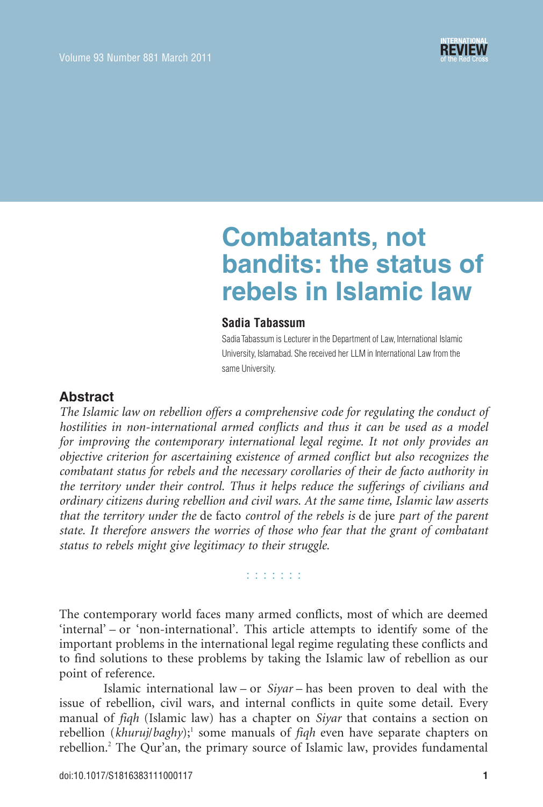

# Combatants, not bandits: the status of rebels in Islamic law

#### Sadia Tabassum

Sadia Tabassum is Lecturer in the Department of Law, International Islamic University, Islamabad. She received her LLM in International Law from the same University.

## Abstract

The Islamic law on rebellion offers a comprehensive code for regulating the conduct of hostilities in non-international armed conflicts and thus it can be used as a model for improving the contemporary international legal regime. It not only provides an objective criterion for ascertaining existence of armed conflict but also recognizes the combatant status for rebels and the necessary corollaries of their de facto authority in the territory under their control. Thus it helps reduce the sufferings of civilians and ordinary citizens during rebellion and civil wars. At the same time, Islamic law asserts that the territory under the de facto control of the rebels is de jure part of the parent state. It therefore answers the worries of those who fear that the grant of combatant status to rebels might give legitimacy to their struggle.

**BERTHER** 

The contemporary world faces many armed conflicts, most of which are deemed 'internal' – or 'non-international'. This article attempts to identify some of the important problems in the international legal regime regulating these conflicts and to find solutions to these problems by taking the Islamic law of rebellion as our point of reference.

Islamic international law – or  $Si\gamma$  – has been proven to deal with the issue of rebellion, civil wars, and internal conflicts in quite some detail. Every manual of fiqh (Islamic law) has a chapter on Siyar that contains a section on rebellion (khuruj/baghy);<sup>1</sup> some manuals of fiqh even have separate chapters on rebellion.<sup>2</sup> The Qur'an, the primary source of Islamic law, provides fundamental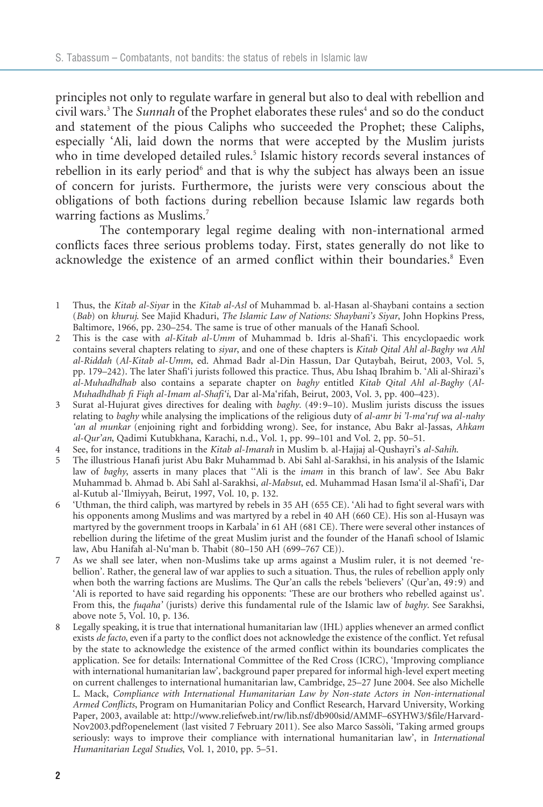principles not only to regulate warfare in general but also to deal with rebellion and civil wars.<sup>3</sup> The Sunnah of the Prophet elaborates these rules<sup>4</sup> and so do the conduct and statement of the pious Caliphs who succeeded the Prophet; these Caliphs, especially 'Ali, laid down the norms that were accepted by the Muslim jurists who in time developed detailed rules.<sup>5</sup> Islamic history records several instances of rebellion in its early period $6$  and that is why the subject has always been an issue of concern for jurists. Furthermore, the jurists were very conscious about the obligations of both factions during rebellion because Islamic law regards both warring factions as Muslims.<sup>7</sup>

The contemporary legal regime dealing with non-international armed conflicts faces three serious problems today. First, states generally do not like to acknowledge the existence of an armed conflict within their boundaries.<sup>8</sup> Even

- 2 This is the case with al-Kitab al-Umm of Muhammad b. Idris al-Shafi'i. This encyclopaedic work contains several chapters relating to siyar, and one of these chapters is Kitab Qital Ahl al-Baghy wa Ahl al-Riddah (Al-Kitab al-Umm, ed. Ahmad Badr al-Din Hassun, Dar Qutaybah, Beirut, 2003, Vol. 5, pp. 179–242). The later Shafi'i jurists followed this practice. Thus, Abu Ishaq Ibrahim b. 'Ali al-Shirazi's al-Muhadhdhab also contains a separate chapter on baghy entitled Kitab Qital Ahl al-Baghy (Al-Muhadhdhab fi Fiqh al-Imam al-Shafi'i, Dar al-Ma'rifah, Beirut, 2003, Vol. 3, pp. 400–423).
- 3 Surat al-Hujurat gives directives for dealing with *baghy*. (49:9-10). Muslim jurists discuss the issues relating to baghy while analysing the implications of the religious duty of al-amr bi 'l-ma'ruf wa al-nahy 'an al munkar (enjoining right and forbidding wrong). See, for instance, Abu Bakr al-Jassas, Ahkam al-Qur'an, Qadimi Kutubkhana, Karachi, n.d., Vol. 1, pp. 99–101 and Vol. 2, pp. 50–51.
- See, for instance, traditions in the Kitab al-Imarah in Muslim b. al-Hajjaj al-Qushayri's al-Sahih.
- 5 The illustrious Hanafi jurist Abu Bakr Muhammad b. Abi Sahl al-Sarakhsi, in his analysis of the Islamic law of baghy, asserts in many places that "Ali is the *imam* in this branch of law'. See Abu Bakr Muhammad b. Ahmad b. Abi Sahl al-Sarakhsi, al-Mabsut, ed. Muhammad Hasan Isma'il al-Shafi'i, Dar al-Kutub al-'Ilmiyyah, Beirut, 1997, Vol. 10, p. 132.
- 6 'Uthman, the third caliph, was martyred by rebels in 35 AH (655 CE). 'Ali had to fight several wars with his opponents among Muslims and was martyred by a rebel in 40 AH (660 CE). His son al-Husayn was martyred by the government troops in Karbala' in 61 AH (681 CE). There were several other instances of rebellion during the lifetime of the great Muslim jurist and the founder of the Hanafi school of Islamic law, Abu Hanifah al-Nu'man b. Thabit (80–150 AH (699–767 CE)).
- 7 As we shall see later, when non-Muslims take up arms against a Muslim ruler, it is not deemed 'rebellion'. Rather, the general law of war applies to such a situation. Thus, the rules of rebellion apply only when both the warring factions are Muslims. The Qur'an calls the rebels 'believers' (Qur'an, 49:9) and 'Ali is reported to have said regarding his opponents: 'These are our brothers who rebelled against us'. From this, the fuqaha' (jurists) derive this fundamental rule of the Islamic law of baghy. See Sarakhsi, above note 5, Vol. 10, p. 136.
- 8 Legally speaking, it is true that international humanitarian law (IHL) applies whenever an armed conflict exists de facto, even if a party to the conflict does not acknowledge the existence of the conflict. Yet refusal by the state to acknowledge the existence of the armed conflict within its boundaries complicates the application. See for details: International Committee of the Red Cross (ICRC), 'Improving compliance with international humanitarian law', background paper prepared for informal high-level expert meeting on current challenges to international humanitarian law, Cambridge, 25–27 June 2004. See also Michelle L. Mack, Compliance with International Humanitarian Law by Non-state Actors in Non-international Armed Conflicts, Program on Humanitarian Policy and Conflict Research, Harvard University, Working Paper, 2003, available at: http://www.reliefweb.int/rw/lib.nsf/db900sid/AMMF–6SYHW3/\$file/Harvard-Nov2003.pdf?openelement (last visited 7 February 2011). See also Marco Sassòli, 'Taking armed groups seriously: ways to improve their compliance with international humanitarian law', in International Humanitarian Legal Studies, Vol. 1, 2010, pp. 5–51.

<sup>1</sup> Thus, the Kitab al-Siyar in the Kitab al-Asl of Muhammad b. al-Hasan al-Shaybani contains a section (Bab) on khuruj. See Majid Khaduri, The Islamic Law of Nations: Shaybani's Siyar, John Hopkins Press, Baltimore, 1966, pp. 230–254. The same is true of other manuals of the Hanafi School.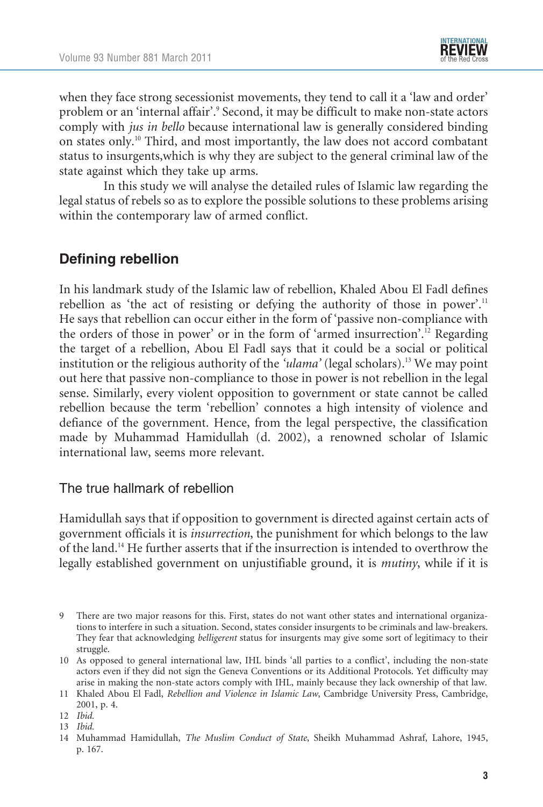when they face strong secessionist movements, they tend to call it a 'law and order' problem or an 'internal affair'.9 Second, it may be difficult to make non-state actors comply with *jus in bello* because international law is generally considered binding on states only.10 Third, and most importantly, the law does not accord combatant status to insurgents,which is why they are subject to the general criminal law of the state against which they take up arms.

In this study we will analyse the detailed rules of Islamic law regarding the legal status of rebels so as to explore the possible solutions to these problems arising within the contemporary law of armed conflict.

# Defining rebellion

In his landmark study of the Islamic law of rebellion, Khaled Abou El Fadl defines rebellion as 'the act of resisting or defying the authority of those in power'.<sup>11</sup> He says that rebellion can occur either in the form of 'passive non-compliance with the orders of those in power' or in the form of 'armed insurrection'.<sup>12</sup> Regarding the target of a rebellion, Abou El Fadl says that it could be a social or political institution or the religious authority of the 'ulama' (legal scholars).<sup>13</sup> We may point out here that passive non-compliance to those in power is not rebellion in the legal sense. Similarly, every violent opposition to government or state cannot be called rebellion because the term 'rebellion' connotes a high intensity of violence and defiance of the government. Hence, from the legal perspective, the classification made by Muhammad Hamidullah (d. 2002), a renowned scholar of Islamic international law, seems more relevant.

## The true hallmark of rebellion

Hamidullah says that if opposition to government is directed against certain acts of government officials it is insurrection, the punishment for which belongs to the law of the land.14 He further asserts that if the insurrection is intended to overthrow the legally established government on unjustifiable ground, it is mutiny, while if it is

<sup>9</sup> There are two major reasons for this. First, states do not want other states and international organizations to interfere in such a situation. Second, states consider insurgents to be criminals and law-breakers. They fear that acknowledging belligerent status for insurgents may give some sort of legitimacy to their struggle.

<sup>10</sup> As opposed to general international law, IHL binds 'all parties to a conflict', including the non-state actors even if they did not sign the Geneva Conventions or its Additional Protocols. Yet difficulty may arise in making the non-state actors comply with IHL, mainly because they lack ownership of that law.

<sup>11</sup> Khaled Abou El Fadl, Rebellion and Violence in Islamic Law, Cambridge University Press, Cambridge, 2001, p. 4.

<sup>12</sup> Ibid.

<sup>13</sup> Ibid.

<sup>14</sup> Muhammad Hamidullah, The Muslim Conduct of State, Sheikh Muhammad Ashraf, Lahore, 1945, p. 167.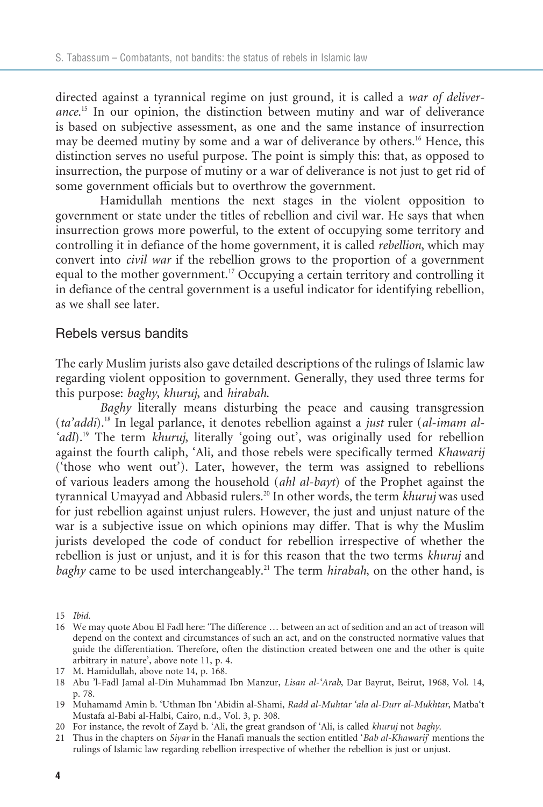directed against a tyrannical regime on just ground, it is called a war of deliverance.<sup>15</sup> In our opinion, the distinction between mutiny and war of deliverance is based on subjective assessment, as one and the same instance of insurrection may be deemed mutiny by some and a war of deliverance by others.<sup>16</sup> Hence, this distinction serves no useful purpose. The point is simply this: that, as opposed to insurrection, the purpose of mutiny or a war of deliverance is not just to get rid of some government officials but to overthrow the government.

Hamidullah mentions the next stages in the violent opposition to government or state under the titles of rebellion and civil war. He says that when insurrection grows more powerful, to the extent of occupying some territory and controlling it in defiance of the home government, it is called rebellion, which may convert into civil war if the rebellion grows to the proportion of a government equal to the mother government.<sup>17</sup> Occupying a certain territory and controlling it in defiance of the central government is a useful indicator for identifying rebellion, as we shall see later.

#### Rebels versus bandits

The early Muslim jurists also gave detailed descriptions of the rulings of Islamic law regarding violent opposition to government. Generally, they used three terms for this purpose: baghy, khuruj, and hirabah.

Baghy literally means disturbing the peace and causing transgression (ta'addi).18 In legal parlance, it denotes rebellion against a just ruler (al-imam al- 'adl).<sup>19</sup> The term khuruj, literally 'going out', was originally used for rebellion against the fourth caliph, 'Ali, and those rebels were specifically termed Khawarij ('those who went out'). Later, however, the term was assigned to rebellions of various leaders among the household (ahl al-bayt) of the Prophet against the tyrannical Umayyad and Abbasid rulers.<sup>20</sup> In other words, the term *khuruj* was used for just rebellion against unjust rulers. However, the just and unjust nature of the war is a subjective issue on which opinions may differ. That is why the Muslim jurists developed the code of conduct for rebellion irrespective of whether the rebellion is just or unjust, and it is for this reason that the two terms khuruj and baghy came to be used interchangeably.<sup>21</sup> The term hirabah, on the other hand, is

<sup>15</sup> Ibid.

<sup>16</sup> We may quote Abou El Fadl here: 'The difference … between an act of sedition and an act of treason will depend on the context and circumstances of such an act, and on the constructed normative values that guide the differentiation. Therefore, often the distinction created between one and the other is quite arbitrary in nature', above note 11, p. 4.

<sup>17</sup> M. Hamidullah, above note 14, p. 168.

<sup>18</sup> Abu 'l-Fadl Jamal al-Din Muhammad Ibn Manzur, Lisan al-'Arab, Dar Bayrut, Beirut, 1968, Vol. 14, p. 78.

<sup>19</sup> Muhamamd Amin b. 'Uthman Ibn 'Abidin al-Shami, Radd al-Muhtar 'ala al-Durr al-Mukhtar, Matba't Mustafa al-Babi al-Halbi, Cairo, n.d., Vol. 3, p. 308.

<sup>20</sup> For instance, the revolt of Zayd b. 'Ali, the great grandson of 'Ali, is called khuruj not baghy.

<sup>21</sup> Thus in the chapters on Siyar in the Hanafi manuals the section entitled 'Bab al-Khawarij' mentions the rulings of Islamic law regarding rebellion irrespective of whether the rebellion is just or unjust.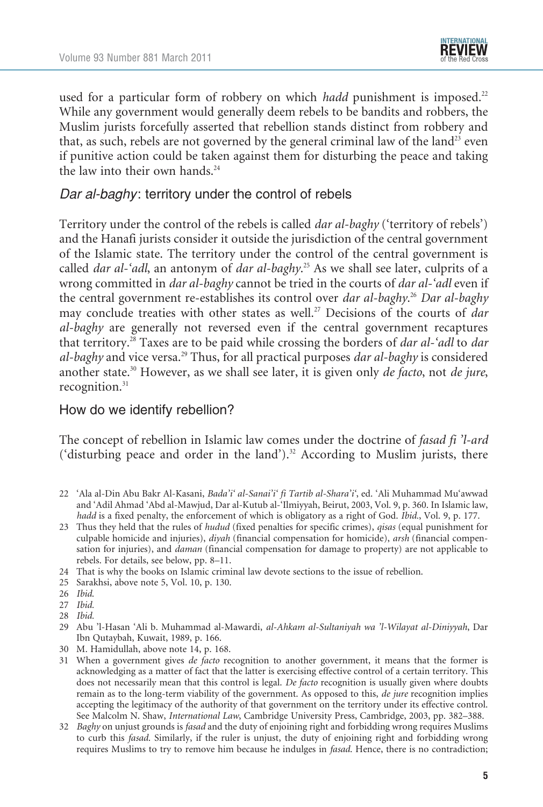used for a particular form of robbery on which hadd punishment is imposed.<sup>22</sup> While any government would generally deem rebels to be bandits and robbers, the Muslim jurists forcefully asserted that rebellion stands distinct from robbery and that, as such, rebels are not governed by the general criminal law of the land<sup>23</sup> even if punitive action could be taken against them for disturbing the peace and taking the law into their own hands.<sup>24</sup>

## Dar al-baghy: territory under the control of rebels

Territory under the control of the rebels is called dar al-baghy ('territory of rebels') and the Hanafi jurists consider it outside the jurisdiction of the central government of the Islamic state. The territory under the control of the central government is called *dar al-'adl*, an antonym of *dar al-baghy*.<sup>25</sup> As we shall see later, culprits of a wrong committed in *dar al-baghy* cannot be tried in the courts of *dar al-'adl* even if the central government re-establishes its control over dar al-baghy. <sup>26</sup> Dar al-baghy may conclude treaties with other states as well.<sup>27</sup> Decisions of the courts of dar al-baghy are generally not reversed even if the central government recaptures that territory.<sup>28</sup> Taxes are to be paid while crossing the borders of dar al-'adl to dar al-baghy and vice versa.<sup>29</sup> Thus, for all practical purposes dar al-baghy is considered another state.<sup>30</sup> However, as we shall see later, it is given only de facto, not de jure, recognition.<sup>31</sup>

#### How do we identify rebellion?

The concept of rebellion in Islamic law comes under the doctrine of fasad fi 'l-ard ('disturbing peace and order in the land').<sup>32</sup> According to Muslim jurists, there

- 22 'Ala al-Din Abu Bakr Al-Kasani, Bada'i' al-Sanai'i' fi Tartib al-Shara'i', ed. 'Ali Muhammad Mu'awwad and 'Adil Ahmad 'Abd al-Mawjud, Dar al-Kutub al-'Ilmiyyah, Beirut, 2003, Vol. 9, p. 360. In Islamic law, hadd is a fixed penalty, the enforcement of which is obligatory as a right of God. Ibid., Vol. 9, p. 177.
- 23 Thus they held that the rules of hudud (fixed penalties for specific crimes), qisas (equal punishment for culpable homicide and injuries), diyah (financial compensation for homicide), arsh (financial compensation for injuries), and daman (financial compensation for damage to property) are not applicable to rebels. For details, see below, pp. 8–11.
- 24 That is why the books on Islamic criminal law devote sections to the issue of rebellion.
- 25 Sarakhsi, above note 5, Vol. 10, p. 130.
- 26 Ibid.
- 27 Ibid.
- 28 Ibid.
- 29 Abu 'l-Hasan 'Ali b. Muhammad al-Mawardi, al-Ahkam al-Sultaniyah wa 'l-Wilayat al-Diniyyah, Dar Ibn Qutaybah, Kuwait, 1989, p. 166.
- 30 M. Hamidullah, above note 14, p. 168.
- 31 When a government gives de facto recognition to another government, it means that the former is acknowledging as a matter of fact that the latter is exercising effective control of a certain territory. This does not necessarily mean that this control is legal. De facto recognition is usually given where doubts remain as to the long-term viability of the government. As opposed to this, de jure recognition implies accepting the legitimacy of the authority of that government on the territory under its effective control. See Malcolm N. Shaw, International Law, Cambridge University Press, Cambridge, 2003, pp. 382–388.
- 32 Baghy on unjust grounds is fasad and the duty of enjoining right and forbidding wrong requires Muslims to curb this fasad. Similarly, if the ruler is unjust, the duty of enjoining right and forbidding wrong requires Muslims to try to remove him because he indulges in fasad. Hence, there is no contradiction;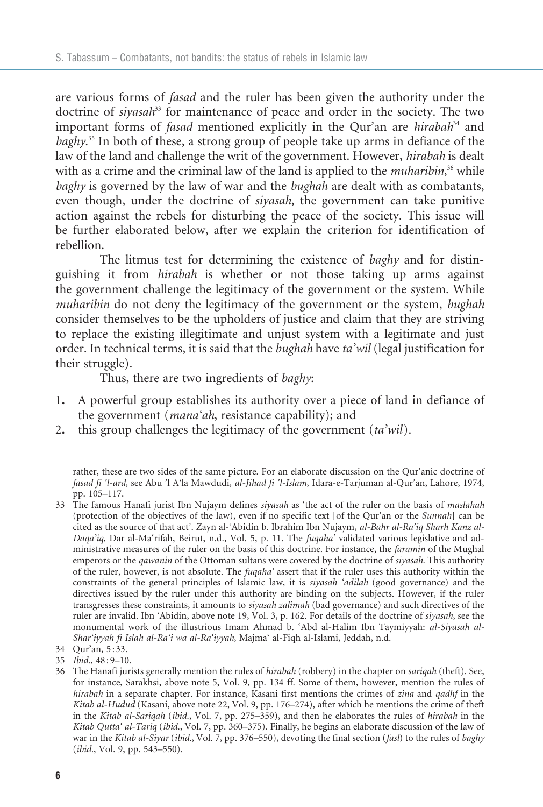are various forms of fasad and the ruler has been given the authority under the doctrine of *siyasah*<sup>33</sup> for maintenance of peace and order in the society. The two important forms of *fasad* mentioned explicitly in the Our'an are *hirabah*<sup>34</sup> and baghy.<sup>35</sup> In both of these, a strong group of people take up arms in defiance of the law of the land and challenge the writ of the government. However, hirabah is dealt with as a crime and the criminal law of the land is applied to the *muharibin*,<sup>36</sup> while baghy is governed by the law of war and the bughah are dealt with as combatants, even though, under the doctrine of siyasah, the government can take punitive action against the rebels for disturbing the peace of the society. This issue will be further elaborated below, after we explain the criterion for identification of rebellion.

The litmus test for determining the existence of baghy and for distinguishing it from hirabah is whether or not those taking up arms against the government challenge the legitimacy of the government or the system. While muharibin do not deny the legitimacy of the government or the system, bughah consider themselves to be the upholders of justice and claim that they are striving to replace the existing illegitimate and unjust system with a legitimate and just order. In technical terms, it is said that the bughah have ta'wil (legal justification for their struggle).

Thus, there are two ingredients of baghy:

- 1. A powerful group establishes its authority over a piece of land in defiance of the government (mana'ah, resistance capability); and
- 2. this group challenges the legitimacy of the government  $(ta'wil)$ .

rather, these are two sides of the same picture. For an elaborate discussion on the Qur'anic doctrine of fasad fi 'l-ard, see Abu 'l A'la Mawdudi, al-Jihad fi 'l-Islam, Idara-e-Tarjuman al-Qur'an, Lahore, 1974, pp. 105–117.

- 33 The famous Hanafi jurist Ibn Nujaym defines siyasah as 'the act of the ruler on the basis of maslahah (protection of the objectives of the law), even if no specific text [of the Qur'an or the Sunnah] can be cited as the source of that act'. Zayn al-'Abidin b. Ibrahim Ibn Nujaym, al-Bahr al-Ra'iq Sharh Kanz al-Daqa'iq, Dar al-Ma'rifah, Beirut, n.d., Vol. 5, p. 11. The fuqaha' validated various legislative and administrative measures of the ruler on the basis of this doctrine. For instance, the faramin of the Mughal emperors or the *qawanin* of the Ottoman sultans were covered by the doctrine of siyasah. This authority of the ruler, however, is not absolute. The fuqaha' assert that if the ruler uses this authority within the constraints of the general principles of Islamic law, it is siyasah 'adilah (good governance) and the directives issued by the ruler under this authority are binding on the subjects. However, if the ruler transgresses these constraints, it amounts to siyasah zalimah (bad governance) and such directives of the ruler are invalid. Ibn 'Abidin, above note 19, Vol. 3, p. 162. For details of the doctrine of siyasah, see the monumental work of the illustrious Imam Ahmad b. 'Abd al-Halim Ibn Taymiyyah: al-Siyasah al-Shar'iyyah fi Islah al-Ra'i wa al-Ra'iyyah, Majma' al-Fiqh al-Islami, Jeddah, n.d.
- 34 Qur'an, 5 : 33.
- 35 Ibid., 48 : 9–10.
- 36 The Hanafi jurists generally mention the rules of hirabah (robbery) in the chapter on sariqah (theft). See, for instance, Sarakhsi, above note 5, Vol. 9, pp. 134 ff. Some of them, however, mention the rules of hirabah in a separate chapter. For instance, Kasani first mentions the crimes of zina and qadhf in the Kitab al-Hudud (Kasani, above note 22, Vol. 9, pp. 176–274), after which he mentions the crime of theft in the Kitab al-Sariqah (ibid., Vol. 7, pp. 275–359), and then he elaborates the rules of hirabah in the Kitab Qutta' al-Tariq (ibid., Vol. 7, pp. 360–375). Finally, he begins an elaborate discussion of the law of war in the Kitab al-Siyar (ibid., Vol. 7, pp. 376–550), devoting the final section (fasl) to the rules of baghy (ibid., Vol. 9, pp. 543–550).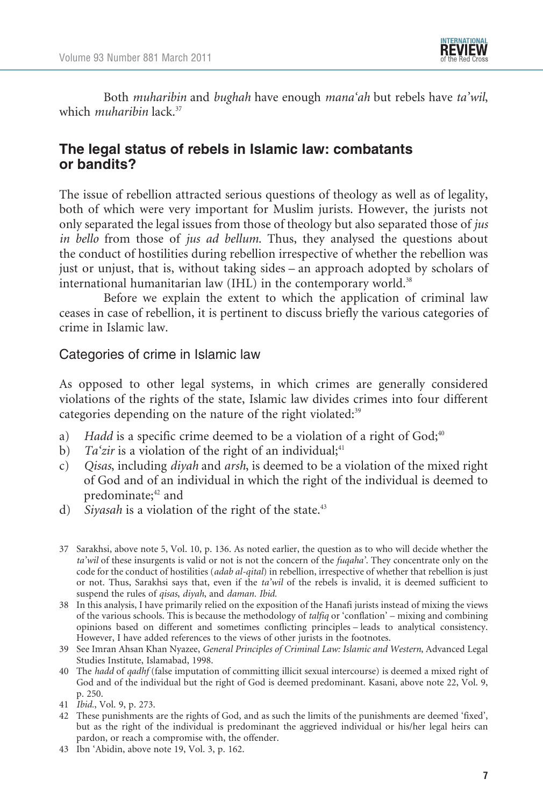

Both muharibin and bughah have enough mana'ah but rebels have ta'wil, which *muharihin* lack  $37$ 

## The legal status of rebels in Islamic law: combatants or bandits?

The issue of rebellion attracted serious questions of theology as well as of legality, both of which were very important for Muslim jurists. However, the jurists not only separated the legal issues from those of theology but also separated those of jus in bello from those of jus ad bellum. Thus, they analysed the questions about the conduct of hostilities during rebellion irrespective of whether the rebellion was just or unjust, that is, without taking sides – an approach adopted by scholars of international humanitarian law (IHL) in the contemporary world.<sup>38</sup>

Before we explain the extent to which the application of criminal law ceases in case of rebellion, it is pertinent to discuss briefly the various categories of crime in Islamic law.

#### Categories of crime in Islamic law

As opposed to other legal systems, in which crimes are generally considered violations of the rights of the state, Islamic law divides crimes into four different categories depending on the nature of the right violated:<sup>39</sup>

- a) Hadd is a specific crime deemed to be a violation of a right of  $God; <sup>40</sup>$
- b) Ta'zir is a violation of the right of an individual;<sup>41</sup>
- c) Qisas, including  $diyah$  and arsh, is deemed to be a violation of the mixed right of God and of an individual in which the right of the individual is deemed to predominate;<sup>42</sup> and
- d) Siyasah is a violation of the right of the state. $43$
- 37 Sarakhsi, above note 5, Vol. 10, p. 136. As noted earlier, the question as to who will decide whether the ta'wil of these insurgents is valid or not is not the concern of the fuqaha'. They concentrate only on the code for the conduct of hostilities (adab al-qital) in rebellion, irrespective of whether that rebellion is just or not. Thus, Sarakhsi says that, even if the ta'wil of the rebels is invalid, it is deemed sufficient to suspend the rules of qisas, diyah, and daman. Ibid.
- 38 In this analysis, I have primarily relied on the exposition of the Hanafi jurists instead of mixing the views of the various schools. This is because the methodology of talfiq or 'conflation' – mixing and combining opinions based on different and sometimes conflicting principles – leads to analytical consistency. However, I have added references to the views of other jurists in the footnotes.
- 39 See Imran Ahsan Khan Nyazee, General Principles of Criminal Law: Islamic and Western, Advanced Legal Studies Institute, Islamabad, 1998.
- 40 The hadd of qadhf (false imputation of committing illicit sexual intercourse) is deemed a mixed right of God and of the individual but the right of God is deemed predominant. Kasani, above note 22, Vol. 9, p. 250.
- 41 Ibid., Vol. 9, p. 273.
- 42 These punishments are the rights of God, and as such the limits of the punishments are deemed 'fixed', but as the right of the individual is predominant the aggrieved individual or his/her legal heirs can pardon, or reach a compromise with, the offender.
- 43 Ibn 'Abidin, above note 19, Vol. 3, p. 162.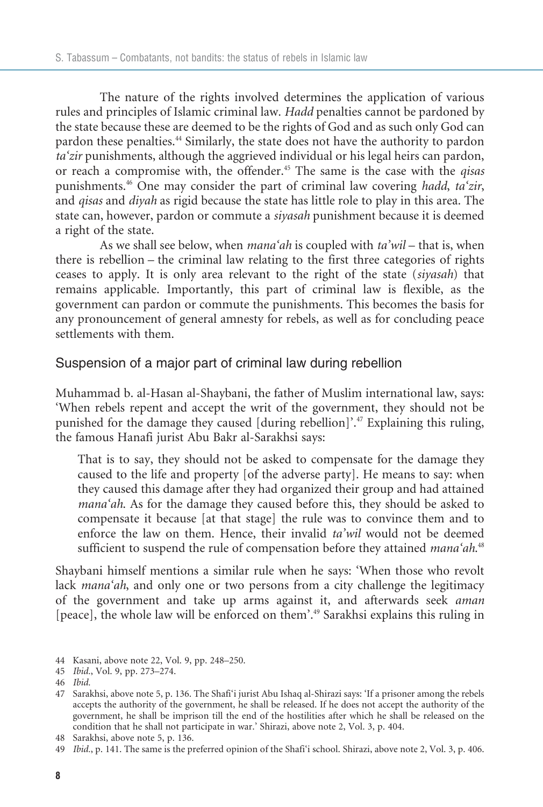The nature of the rights involved determines the application of various rules and principles of Islamic criminal law. Hadd penalties cannot be pardoned by the state because these are deemed to be the rights of God and as such only God can pardon these penalties.44 Similarly, the state does not have the authority to pardon ta'zir punishments, although the aggrieved individual or his legal heirs can pardon, or reach a compromise with, the offender.<sup>45</sup> The same is the case with the *qisas* punishments.<sup>46</sup> One may consider the part of criminal law covering hadd, ta'zir, and qisas and diyah as rigid because the state has little role to play in this area. The state can, however, pardon or commute a siyasah punishment because it is deemed a right of the state.

As we shall see below, when mana'ah is coupled with ta'wil – that is, when there is rebellion – the criminal law relating to the first three categories of rights ceases to apply. It is only area relevant to the right of the state (siyasah) that remains applicable. Importantly, this part of criminal law is flexible, as the government can pardon or commute the punishments. This becomes the basis for any pronouncement of general amnesty for rebels, as well as for concluding peace settlements with them.

#### Suspension of a major part of criminal law during rebellion

Muhammad b. al-Hasan al-Shaybani, the father of Muslim international law, says: 'When rebels repent and accept the writ of the government, they should not be punished for the damage they caused [during rebellion]'.47 Explaining this ruling, the famous Hanafi jurist Abu Bakr al-Sarakhsi says:

That is to say, they should not be asked to compensate for the damage they caused to the life and property [of the adverse party]. He means to say: when they caused this damage after they had organized their group and had attained mana'ah. As for the damage they caused before this, they should be asked to compensate it because [at that stage] the rule was to convince them and to enforce the law on them. Hence, their invalid ta'wil would not be deemed sufficient to suspend the rule of compensation before they attained mana'ah.<sup>48</sup>

Shaybani himself mentions a similar rule when he says: 'When those who revolt lack mana'ah, and only one or two persons from a city challenge the legitimacy of the government and take up arms against it, and afterwards seek aman [peace], the whole law will be enforced on them'.<sup>49</sup> Sarakhsi explains this ruling in

<sup>44</sup> Kasani, above note 22, Vol. 9, pp. 248–250.

<sup>45</sup> Ibid., Vol. 9, pp. 273–274.

<sup>46</sup> Ibid.

<sup>47</sup> Sarakhsi, above note 5, p. 136. The Shafi'i jurist Abu Ishaq al-Shirazi says: 'If a prisoner among the rebels accepts the authority of the government, he shall be released. If he does not accept the authority of the government, he shall be imprison till the end of the hostilities after which he shall be released on the condition that he shall not participate in war.' Shirazi, above note 2, Vol. 3, p. 404.

<sup>48</sup> Sarakhsi, above note 5, p. 136.

<sup>49</sup> Ibid., p. 141. The same is the preferred opinion of the Shafi'i school. Shirazi, above note 2, Vol. 3, p. 406.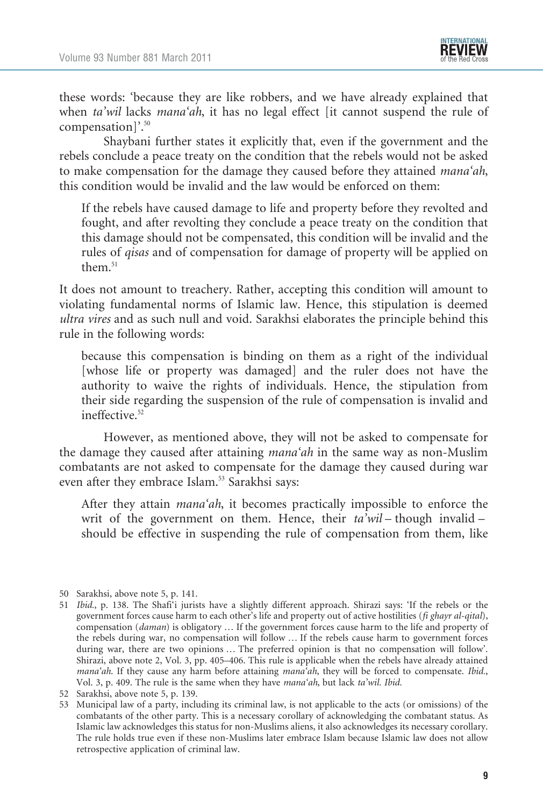these words: 'because they are like robbers, and we have already explained that when ta'wil lacks mana'ah, it has no legal effect [it cannot suspend the rule of compensation]'.<sup>50</sup>

Shaybani further states it explicitly that, even if the government and the rebels conclude a peace treaty on the condition that the rebels would not be asked to make compensation for the damage they caused before they attained mana'ah, this condition would be invalid and the law would be enforced on them:

If the rebels have caused damage to life and property before they revolted and fought, and after revolting they conclude a peace treaty on the condition that this damage should not be compensated, this condition will be invalid and the rules of *qisas* and of compensation for damage of property will be applied on them $51$ 

It does not amount to treachery. Rather, accepting this condition will amount to violating fundamental norms of Islamic law. Hence, this stipulation is deemed ultra vires and as such null and void. Sarakhsi elaborates the principle behind this rule in the following words:

because this compensation is binding on them as a right of the individual [whose life or property was damaged] and the ruler does not have the authority to waive the rights of individuals. Hence, the stipulation from their side regarding the suspension of the rule of compensation is invalid and ineffective<sup>52</sup>

However, as mentioned above, they will not be asked to compensate for the damage they caused after attaining mana'ah in the same way as non-Muslim combatants are not asked to compensate for the damage they caused during war even after they embrace Islam.<sup>53</sup> Sarakhsi says:

After they attain mana'ah, it becomes practically impossible to enforce the writ of the government on them. Hence, their  $ta'wil$  – though invalid – should be effective in suspending the rule of compensation from them, like

<sup>50</sup> Sarakhsi, above note 5, p. 141.

<sup>51</sup> Ibid., p. 138. The Shafi'i jurists have a slightly different approach. Shirazi says: 'If the rebels or the government forces cause harm to each other's life and property out of active hostilities (fi ghayr al-qital), compensation (daman) is obligatory … If the government forces cause harm to the life and property of the rebels during war, no compensation will follow … If the rebels cause harm to government forces during war, there are two opinions … The preferred opinion is that no compensation will follow'. Shirazi, above note 2, Vol. 3, pp. 405–406. This rule is applicable when the rebels have already attained mana'ah. If they cause any harm before attaining mana'ah, they will be forced to compensate. Ibid., Vol. 3, p. 409. The rule is the same when they have mana'ah, but lack ta'wil. Ibid.

<sup>52</sup> Sarakhsi, above note 5, p. 139.

<sup>53</sup> Municipal law of a party, including its criminal law, is not applicable to the acts (or omissions) of the combatants of the other party. This is a necessary corollary of acknowledging the combatant status. As Islamic law acknowledges this status for non-Muslims aliens, it also acknowledges its necessary corollary. The rule holds true even if these non-Muslims later embrace Islam because Islamic law does not allow retrospective application of criminal law.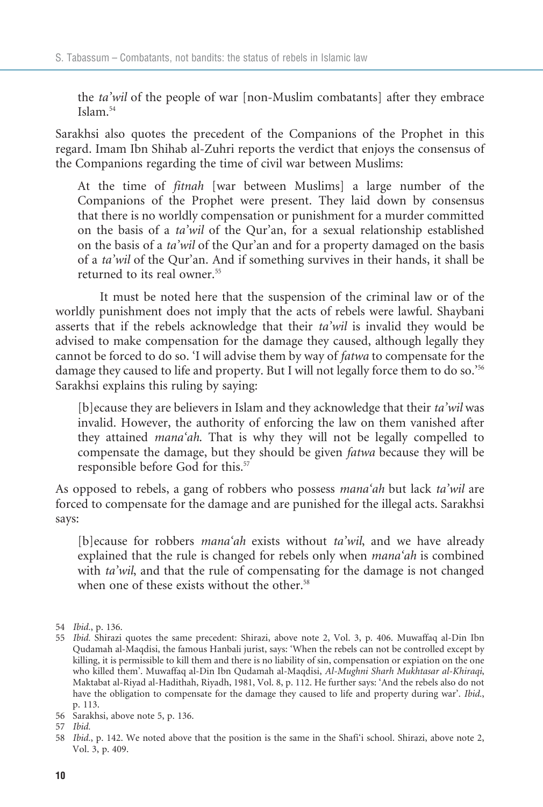the ta'wil of the people of war [non-Muslim combatants] after they embrace Islam.54

Sarakhsi also quotes the precedent of the Companions of the Prophet in this regard. Imam Ibn Shihab al-Zuhri reports the verdict that enjoys the consensus of the Companions regarding the time of civil war between Muslims:

At the time of fitnah [war between Muslims] a large number of the Companions of the Prophet were present. They laid down by consensus that there is no worldly compensation or punishment for a murder committed on the basis of a ta'wil of the Qur'an, for a sexual relationship established on the basis of a ta'wil of the Qur'an and for a property damaged on the basis of a ta'wil of the Qur'an. And if something survives in their hands, it shall be returned to its real owner.<sup>55</sup>

It must be noted here that the suspension of the criminal law or of the worldly punishment does not imply that the acts of rebels were lawful. Shaybani asserts that if the rebels acknowledge that their ta'wil is invalid they would be advised to make compensation for the damage they caused, although legally they cannot be forced to do so. 'I will advise them by way of fatwa to compensate for the damage they caused to life and property. But I will not legally force them to do so.<sup>56</sup> Sarakhsi explains this ruling by saying:

[b] ecause they are believers in Islam and they acknowledge that their ta'wil was invalid. However, the authority of enforcing the law on them vanished after they attained mana'ah. That is why they will not be legally compelled to compensate the damage, but they should be given fatwa because they will be responsible before God for this.<sup>57</sup>

As opposed to rebels, a gang of robbers who possess mana'ah but lack ta'wil are forced to compensate for the damage and are punished for the illegal acts. Sarakhsi says:

[b] ecause for robbers *mana'ah* exists without ta'wil, and we have already explained that the rule is changed for rebels only when *mana'ah* is combined with ta'wil, and that the rule of compensating for the damage is not changed when one of these exists without the other.<sup>58</sup>

<sup>54</sup> Ibid., p. 136.

<sup>55</sup> Ibid. Shirazi quotes the same precedent: Shirazi, above note 2, Vol. 3, p. 406. Muwaffaq al-Din Ibn Qudamah al-Maqdisi, the famous Hanbali jurist, says: 'When the rebels can not be controlled except by killing, it is permissible to kill them and there is no liability of sin, compensation or expiation on the one who killed them'. Muwaffaq al-Din Ibn Qudamah al-Maqdisi, Al-Mughni Sharh Mukhtasar al-Khiraqi, Maktabat al-Riyad al-Hadithah, Riyadh, 1981, Vol. 8, p. 112. He further says: 'And the rebels also do not have the obligation to compensate for the damage they caused to life and property during war'. Ibid., p. 113.

<sup>56</sup> Sarakhsi, above note 5, p. 136.

<sup>57</sup> Ibid.

<sup>58</sup> Ibid., p. 142. We noted above that the position is the same in the Shafi'i school. Shirazi, above note 2, Vol. 3, p. 409.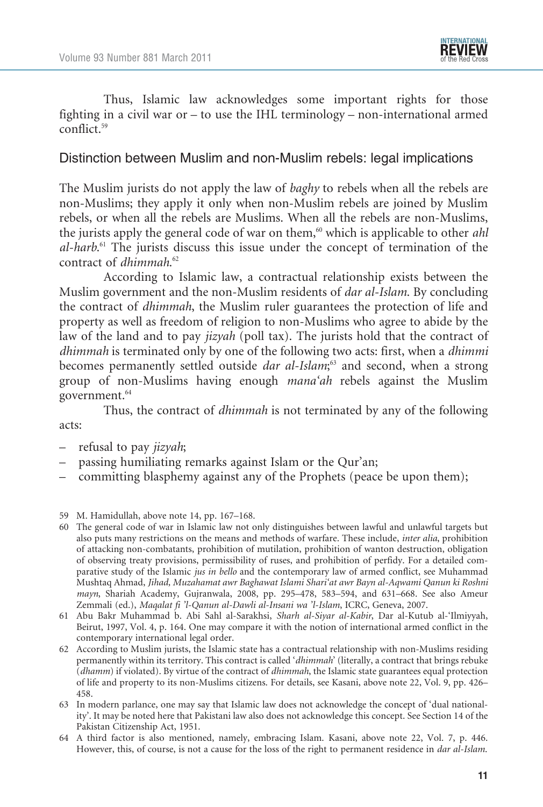

Thus, Islamic law acknowledges some important rights for those fighting in a civil war or – to use the IHL terminology – non-international armed conflict.<sup>59</sup>

### Distinction between Muslim and non-Muslim rebels: legal implications

The Muslim jurists do not apply the law of baghy to rebels when all the rebels are non-Muslims; they apply it only when non-Muslim rebels are joined by Muslim rebels, or when all the rebels are Muslims. When all the rebels are non-Muslims, the jurists apply the general code of war on them, $60$  which is applicable to other *ahl* al-harb.<sup>61</sup> The jurists discuss this issue under the concept of termination of the contract of dhimmah. 62

According to Islamic law, a contractual relationship exists between the Muslim government and the non-Muslim residents of dar al-Islam. By concluding the contract of dhimmah, the Muslim ruler guarantees the protection of life and property as well as freedom of religion to non-Muslims who agree to abide by the law of the land and to pay jizyah (poll tax). The jurists hold that the contract of dhimmah is terminated only by one of the following two acts: first, when a dhimmi becomes permanently settled outside *dar al-Islam*;<sup>63</sup> and second, when a strong group of non-Muslims having enough mana'ah rebels against the Muslim government.<sup>64</sup>

Thus, the contract of dhimmah is not terminated by any of the following acts:

- refusal to pay jizyah;
- passing humiliating remarks against Islam or the Qur'an;
- committing blasphemy against any of the Prophets (peace be upon them);

- 61 Abu Bakr Muhammad b. Abi Sahl al-Sarakhsi, Sharh al-Siyar al-Kabir, Dar al-Kutub al-'Ilmiyyah, Beirut, 1997, Vol. 4, p. 164. One may compare it with the notion of international armed conflict in the contemporary international legal order.
- 62 According to Muslim jurists, the Islamic state has a contractual relationship with non-Muslims residing permanently within its territory. This contract is called 'dhimmah' (literally, a contract that brings rebuke (dhamm) if violated). By virtue of the contract of dhimmah, the Islamic state guarantees equal protection of life and property to its non-Muslims citizens. For details, see Kasani, above note 22, Vol. 9, pp. 426– 458.
- 63 In modern parlance, one may say that Islamic law does not acknowledge the concept of 'dual nationality'. It may be noted here that Pakistani law also does not acknowledge this concept. See Section 14 of the Pakistan Citizenship Act, 1951.
- 64 A third factor is also mentioned, namely, embracing Islam. Kasani, above note 22, Vol. 7, p. 446. However, this, of course, is not a cause for the loss of the right to permanent residence in dar al-Islam.

<sup>59</sup> M. Hamidullah, above note 14, pp. 167–168.

<sup>60</sup> The general code of war in Islamic law not only distinguishes between lawful and unlawful targets but also puts many restrictions on the means and methods of warfare. These include, inter alia, prohibition of attacking non-combatants, prohibition of mutilation, prohibition of wanton destruction, obligation of observing treaty provisions, permissibility of ruses, and prohibition of perfidy. For a detailed comparative study of the Islamic jus in bello and the contemporary law of armed conflict, see Muhammad Mushtaq Ahmad, Jihad, Muzahamat awr Baghawat Islami Shari'at awr Bayn al-Aqwami Qanun ki Roshni mayn, Shariah Academy, Gujranwala, 2008, pp. 295–478, 583–594, and 631–668. See also Ameur Zemmali (ed.), Maqalat fi 'l-Qanun al-Dawli al-Insani wa 'l-Islam, ICRC, Geneva, 2007.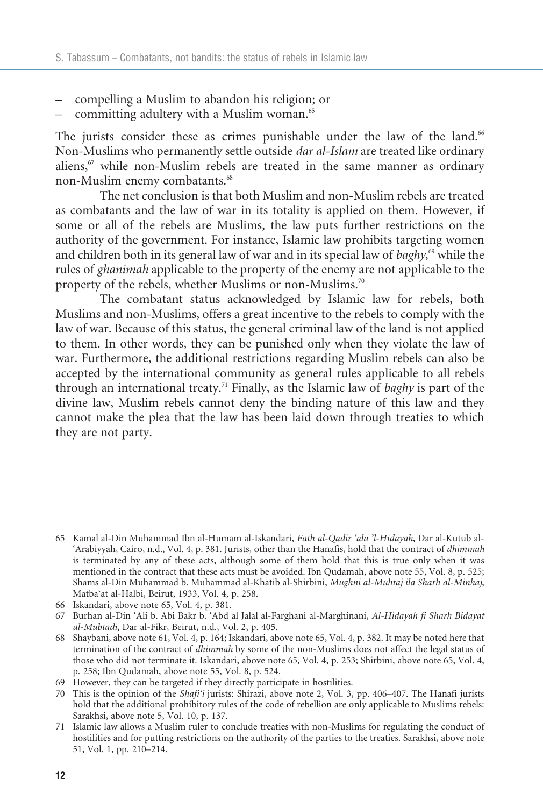- compelling a Muslim to abandon his religion; or
- committing adultery with a Muslim woman.<sup>65</sup>

The jurists consider these as crimes punishable under the law of the land.<sup>66</sup> Non-Muslims who permanently settle outside dar al-Islam are treated like ordinary aliens,<sup>67</sup> while non-Muslim rebels are treated in the same manner as ordinary non-Muslim enemy combatants.<sup>68</sup>

The net conclusion is that both Muslim and non-Muslim rebels are treated as combatants and the law of war in its totality is applied on them. However, if some or all of the rebels are Muslims, the law puts further restrictions on the authority of the government. For instance, Islamic law prohibits targeting women and children both in its general law of war and in its special law of *baghy*,<sup>69</sup> while the rules of ghanimah applicable to the property of the enemy are not applicable to the property of the rebels, whether Muslims or non-Muslims.<sup>70</sup>

The combatant status acknowledged by Islamic law for rebels, both Muslims and non-Muslims, offers a great incentive to the rebels to comply with the law of war. Because of this status, the general criminal law of the land is not applied to them. In other words, they can be punished only when they violate the law of war. Furthermore, the additional restrictions regarding Muslim rebels can also be accepted by the international community as general rules applicable to all rebels through an international treaty.<sup>71</sup> Finally, as the Islamic law of *baghy* is part of the divine law, Muslim rebels cannot deny the binding nature of this law and they cannot make the plea that the law has been laid down through treaties to which they are not party.

<sup>65</sup> Kamal al-Din Muhammad Ibn al-Humam al-Iskandari, Fath al-Qadir 'ala 'l-Hidayah, Dar al-Kutub al- 'Arabiyyah, Cairo, n.d., Vol. 4, p. 381. Jurists, other than the Hanafis, hold that the contract of dhimmah is terminated by any of these acts, although some of them hold that this is true only when it was mentioned in the contract that these acts must be avoided. Ibn Qudamah, above note 55, Vol. 8, p. 525; Shams al-Din Muhammad b. Muhammad al-Khatib al-Shirbini, Mughni al-Muhtaj ila Sharh al-Minhaj, Matba'at al-Halbi, Beirut, 1933, Vol. 4, p. 258.

<sup>66</sup> Iskandari, above note 65, Vol. 4, p. 381.

<sup>67</sup> Burhan al-Din 'Ali b. Abi Bakr b. 'Abd al Jalal al-Farghani al-Marghinani, Al-Hidayah fi Sharh Bidayat al-Mubtadi, Dar al-Fikr, Beirut, n.d., Vol. 2, p. 405.

<sup>68</sup> Shaybani, above note 61, Vol. 4, p. 164; Iskandari, above note 65, Vol. 4, p. 382. It may be noted here that termination of the contract of dhimmah by some of the non-Muslims does not affect the legal status of those who did not terminate it. Iskandari, above note 65, Vol. 4, p. 253; Shirbini, above note 65, Vol. 4, p. 258; Ibn Qudamah, above note 55, Vol. 8, p. 524.

<sup>69</sup> However, they can be targeted if they directly participate in hostilities.

<sup>70</sup> This is the opinion of the Shafi'i jurists: Shirazi, above note 2, Vol. 3, pp. 406–407. The Hanafi jurists hold that the additional prohibitory rules of the code of rebellion are only applicable to Muslims rebels: Sarakhsi, above note 5, Vol. 10, p. 137.

<sup>71</sup> Islamic law allows a Muslim ruler to conclude treaties with non-Muslims for regulating the conduct of hostilities and for putting restrictions on the authority of the parties to the treaties. Sarakhsi, above note 51, Vol. 1, pp. 210–214.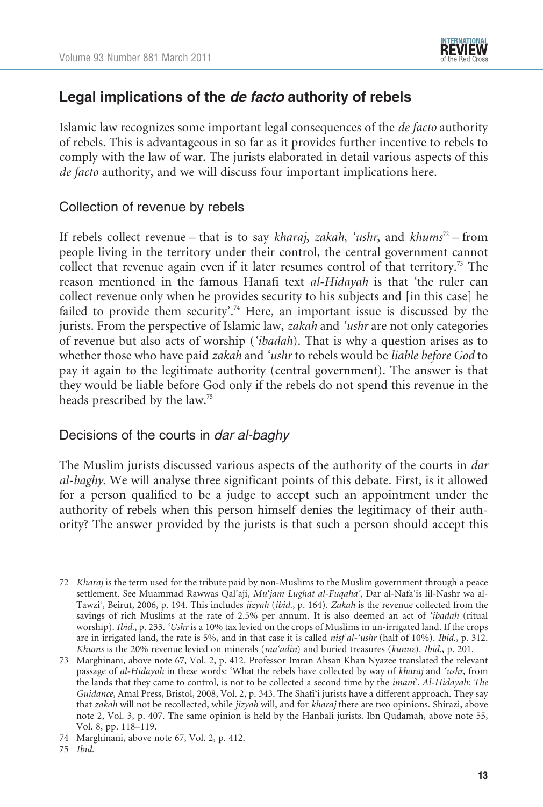

# Legal implications of the de facto authority of rebels

Islamic law recognizes some important legal consequences of the de facto authority of rebels. This is advantageous in so far as it provides further incentive to rebels to comply with the law of war. The jurists elaborated in detail various aspects of this de facto authority, and we will discuss four important implications here.

## Collection of revenue by rebels

If rebels collect revenue – that is to say kharaj, zakah, 'ushr, and khums<sup>72</sup> – from people living in the territory under their control, the central government cannot collect that revenue again even if it later resumes control of that territory.<sup>73</sup> The reason mentioned in the famous Hanafi text al-Hidayah is that 'the ruler can collect revenue only when he provides security to his subjects and [in this case] he failed to provide them security'.<sup>74</sup> Here, an important issue is discussed by the jurists. From the perspective of Islamic law, zakah and 'ushr are not only categories of revenue but also acts of worship ('ibadah). That is why a question arises as to whether those who have paid zakah and 'ushr to rebels would be liable before God to pay it again to the legitimate authority (central government). The answer is that they would be liable before God only if the rebels do not spend this revenue in the heads prescribed by the law.75

## Decisions of the courts in dar al-baghy

The Muslim jurists discussed various aspects of the authority of the courts in dar al-baghy. We will analyse three significant points of this debate. First, is it allowed for a person qualified to be a judge to accept such an appointment under the authority of rebels when this person himself denies the legitimacy of their authority? The answer provided by the jurists is that such a person should accept this

72 Kharaj is the term used for the tribute paid by non-Muslims to the Muslim government through a peace settlement. See Muammad Rawwas Qal'aji, Mu'jam Lughat al-Fuqaha', Dar al-Nafa'is lil-Nashr wa al-Tawzi', Beirut, 2006, p. 194. This includes jizyah (ibid., p. 164). Zakah is the revenue collected from the savings of rich Muslims at the rate of 2.5% per annum. It is also deemed an act of *'ibadah* (ritual worship). *Ibid.*, p. 233. '*Ushr* is a 10% tax levied on the crops of Muslims in un-irrigated land. If the crops are in irrigated land, the rate is 5%, and in that case it is called *nisf al-'ushr* (half of 10%). *Ibid.*, p. 312. Khums is the 20% revenue levied on minerals (ma'adin) and buried treasures (kunuz). Ibid., p. 201.

74 Marghinani, above note 67, Vol. 2, p. 412.

<sup>73</sup> Marghinani, above note 67, Vol. 2, p. 412. Professor Imran Ahsan Khan Nyazee translated the relevant passage of al-Hidayah in these words: 'What the rebels have collected by way of kharaj and 'ushr, from the lands that they came to control, is not to be collected a second time by the imam'. Al-Hidayah: The Guidance, Amal Press, Bristol, 2008, Vol. 2, p. 343. The Shafi'i jurists have a different approach. They say that zakah will not be recollected, while jizyah will, and for kharaj there are two opinions. Shirazi, above note 2, Vol. 3, p. 407. The same opinion is held by the Hanbali jurists. Ibn Qudamah, above note 55, Vol. 8, pp. 118–119.

<sup>75</sup> Ibid.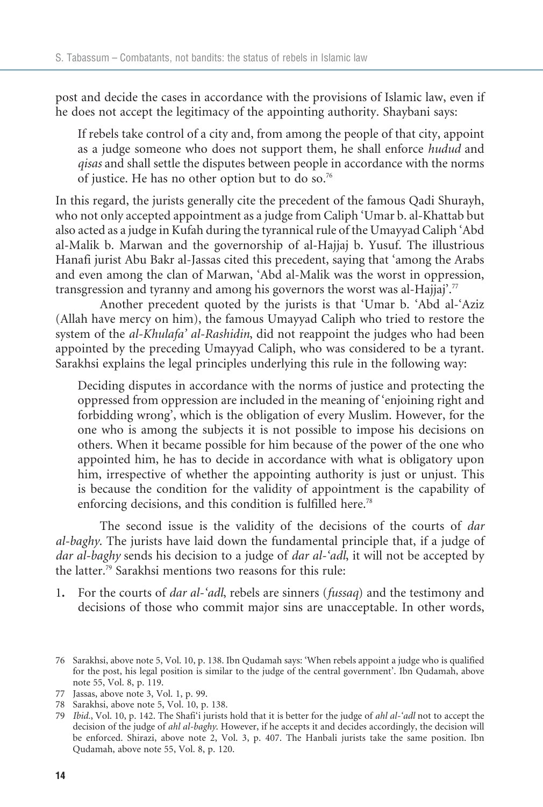post and decide the cases in accordance with the provisions of Islamic law, even if he does not accept the legitimacy of the appointing authority. Shaybani says:

If rebels take control of a city and, from among the people of that city, appoint as a judge someone who does not support them, he shall enforce hudud and qisas and shall settle the disputes between people in accordance with the norms of justice. He has no other option but to do so.<sup>76</sup>

In this regard, the jurists generally cite the precedent of the famous Qadi Shurayh, who not only accepted appointment as a judge from Caliph 'Umar b. al-Khattab but also acted as a judge in Kufah during the tyrannical rule of the Umayyad Caliph 'Abd al-Malik b. Marwan and the governorship of al-Hajjaj b. Yusuf. The illustrious Hanafi jurist Abu Bakr al-Jassas cited this precedent, saying that 'among the Arabs and even among the clan of Marwan, 'Abd al-Malik was the worst in oppression, transgression and tyranny and among his governors the worst was al-Hajjaj'.<sup>77</sup>

Another precedent quoted by the jurists is that 'Umar b. 'Abd al-'Aziz (Allah have mercy on him), the famous Umayyad Caliph who tried to restore the system of the al-Khulafa' al-Rashidin, did not reappoint the judges who had been appointed by the preceding Umayyad Caliph, who was considered to be a tyrant. Sarakhsi explains the legal principles underlying this rule in the following way:

Deciding disputes in accordance with the norms of justice and protecting the oppressed from oppression are included in the meaning of 'enjoining right and forbidding wrong', which is the obligation of every Muslim. However, for the one who is among the subjects it is not possible to impose his decisions on others. When it became possible for him because of the power of the one who appointed him, he has to decide in accordance with what is obligatory upon him, irrespective of whether the appointing authority is just or unjust. This is because the condition for the validity of appointment is the capability of enforcing decisions, and this condition is fulfilled here.<sup>78</sup>

The second issue is the validity of the decisions of the courts of dar al-baghy. The jurists have laid down the fundamental principle that, if a judge of dar al-baghy sends his decision to a judge of dar al-'adl, it will not be accepted by the latter.<sup>79</sup> Sarakhsi mentions two reasons for this rule:

1. For the courts of *dar al-'adl*, rebels are sinners (*fussaq*) and the testimony and decisions of those who commit major sins are unacceptable. In other words,

<sup>76</sup> Sarakhsi, above note 5, Vol. 10, p. 138. Ibn Qudamah says: 'When rebels appoint a judge who is qualified for the post, his legal position is similar to the judge of the central government'. Ibn Qudamah, above note 55, Vol. 8, p. 119.

<sup>77</sup> Jassas, above note 3, Vol. 1, p. 99.

<sup>78</sup> Sarakhsi, above note 5, Vol. 10, p. 138.

<sup>79</sup> Ibid., Vol. 10, p. 142. The Shafi'i jurists hold that it is better for the judge of ahl al-'adl not to accept the decision of the judge of ahl al-baghy. However, if he accepts it and decides accordingly, the decision will be enforced. Shirazi, above note 2, Vol. 3, p. 407. The Hanbali jurists take the same position. Ibn Qudamah, above note 55, Vol. 8, p. 120.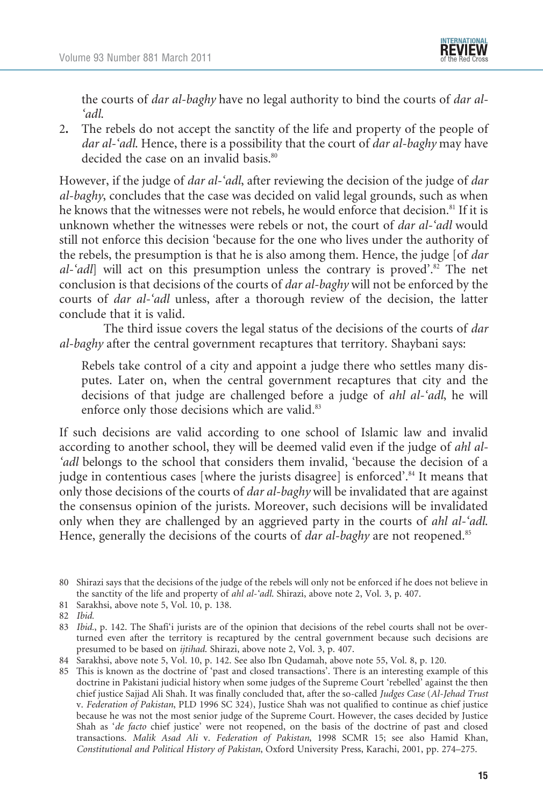the courts of *dar al-baghy* have no legal authority to bind the courts of *dar al-*'adl.

2. The rebels do not accept the sanctity of the life and property of the people of dar al-'adl. Hence, there is a possibility that the court of dar al-baghy may have decided the case on an invalid basis.<sup>80</sup>

However, if the judge of *dar al-'adl*, after reviewing the decision of the judge of *dar* al-baghy, concludes that the case was decided on valid legal grounds, such as when he knows that the witnesses were not rebels, he would enforce that decision.<sup>81</sup> If it is unknown whether the witnesses were rebels or not, the court of *dar al-'adl* would still not enforce this decision 'because for the one who lives under the authority of the rebels, the presumption is that he is also among them. Hence, the judge [of dar al-'adl] will act on this presumption unless the contrary is proved'.<sup>82</sup> The net conclusion is that decisions of the courts of dar al-baghy will not be enforced by the courts of dar al-'adl unless, after a thorough review of the decision, the latter conclude that it is valid.

The third issue covers the legal status of the decisions of the courts of *dar* al-baghy after the central government recaptures that territory. Shaybani says:

Rebels take control of a city and appoint a judge there who settles many disputes. Later on, when the central government recaptures that city and the decisions of that judge are challenged before a judge of ahl al-'adl, he will enforce only those decisions which are valid.<sup>83</sup>

If such decisions are valid according to one school of Islamic law and invalid according to another school, they will be deemed valid even if the judge of ahl al- 'adl belongs to the school that considers them invalid, 'because the decision of a judge in contentious cases [where the jurists disagree] is enforced'.<sup>84</sup> It means that only those decisions of the courts of *dar al-baghy* will be invalidated that are against the consensus opinion of the jurists. Moreover, such decisions will be invalidated only when they are challenged by an aggrieved party in the courts of ahl al-'adl. Hence, generally the decisions of the courts of *dar al-baghy* are not reopened.<sup>85</sup>

81 Sarakhsi, above note 5, Vol. 10, p. 138.

<sup>80</sup> Shirazi says that the decisions of the judge of the rebels will only not be enforced if he does not believe in the sanctity of the life and property of ahl al-'adl. Shirazi, above note 2, Vol. 3, p. 407.

<sup>82</sup> Ibid.

<sup>83</sup> Ibid., p. 142. The Shafi'i jurists are of the opinion that decisions of the rebel courts shall not be overturned even after the territory is recaptured by the central government because such decisions are presumed to be based on ijtihad. Shirazi, above note 2, Vol. 3, p. 407.

<sup>84</sup> Sarakhsi, above note 5, Vol. 10, p. 142. See also Ibn Qudamah, above note 55, Vol. 8, p. 120.

<sup>85</sup> This is known as the doctrine of 'past and closed transactions'. There is an interesting example of this doctrine in Pakistani judicial history when some judges of the Supreme Court 'rebelled' against the then chief justice Sajjad Ali Shah. It was finally concluded that, after the so-called Judges Case (Al-Jehad Trust v. Federation of Pakistan, PLD 1996 SC 324), Justice Shah was not qualified to continue as chief justice because he was not the most senior judge of the Supreme Court. However, the cases decided by Justice Shah as 'de facto chief justice' were not reopened, on the basis of the doctrine of past and closed transactions. Malik Asad Ali v. Federation of Pakistan, 1998 SCMR 15; see also Hamid Khan, Constitutional and Political History of Pakistan, Oxford University Press, Karachi, 2001, pp. 274–275.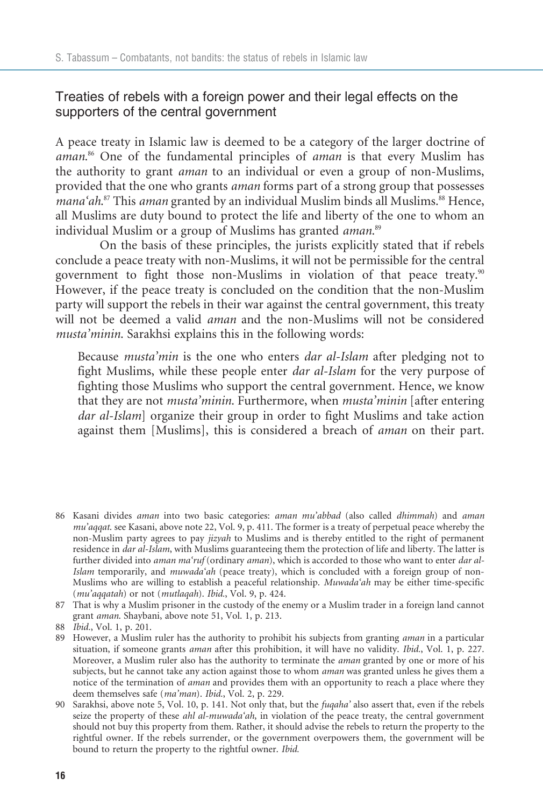#### Treaties of rebels with a foreign power and their legal effects on the supporters of the central government

A peace treaty in Islamic law is deemed to be a category of the larger doctrine of aman.<sup>86</sup> One of the fundamental principles of aman is that every Muslim has the authority to grant aman to an individual or even a group of non-Muslims, provided that the one who grants *aman* forms part of a strong group that possesses manaʿah.<sup>87</sup> This aman granted by an individual Muslim binds all Muslims.<sup>88</sup> Hence, all Muslims are duty bound to protect the life and liberty of the one to whom an individual Muslim or a group of Muslims has granted *aman*.<sup>89</sup>

On the basis of these principles, the jurists explicitly stated that if rebels conclude a peace treaty with non-Muslims, it will not be permissible for the central government to fight those non-Muslims in violation of that peace treaty.<sup>90</sup> However, if the peace treaty is concluded on the condition that the non-Muslim party will support the rebels in their war against the central government, this treaty will not be deemed a valid *aman* and the non-Muslims will not be considered musta'minin. Sarakhsi explains this in the following words:

Because musta'min is the one who enters dar al-Islam after pledging not to fight Muslims, while these people enter dar al-Islam for the very purpose of fighting those Muslims who support the central government. Hence, we know that they are not *musta'minin*. Furthermore, when *musta'minin* [after entering dar al-Islam] organize their group in order to fight Muslims and take action against them [Muslims], this is considered a breach of aman on their part.

<sup>86</sup> Kasani divides aman into two basic categories: aman mu'abbad (also called dhimmah) and aman mu'aqqat. see Kasani, above note 22, Vol. 9, p. 411. The former is a treaty of perpetual peace whereby the non-Muslim party agrees to pay jizyah to Muslims and is thereby entitled to the right of permanent residence in dar al-Islam, with Muslims guaranteeing them the protection of life and liberty. The latter is further divided into aman ma'ruf (ordinary aman), which is accorded to those who want to enter dar al-Islam temporarily, and muwada'ah (peace treaty), which is concluded with a foreign group of non-Muslims who are willing to establish a peaceful relationship. Muwada'ah may be either time-specific (mu'aqqatah) or not (mutlaqah). Ibid., Vol. 9, p. 424.

<sup>87</sup> That is why a Muslim prisoner in the custody of the enemy or a Muslim trader in a foreign land cannot grant aman. Shaybani, above note 51, Vol. 1, p. 213.

<sup>88</sup> Ibid., Vol. 1, p. 201.

<sup>89</sup> However, a Muslim ruler has the authority to prohibit his subjects from granting *aman* in a particular situation, if someone grants aman after this prohibition, it will have no validity. Ibid., Vol. 1, p. 227. Moreover, a Muslim ruler also has the authority to terminate the aman granted by one or more of his subjects, but he cannot take any action against those to whom *aman* was granted unless he gives them a notice of the termination of *aman* and provides them with an opportunity to reach a place where they deem themselves safe (ma'man). Ibid., Vol. 2, p. 229.

<sup>90</sup> Sarakhsi, above note 5, Vol. 10, p. 141. Not only that, but the fuqaha' also assert that, even if the rebels seize the property of these ahl al-muwada'ah, in violation of the peace treaty, the central government should not buy this property from them. Rather, it should advise the rebels to return the property to the rightful owner. If the rebels surrender, or the government overpowers them, the government will be bound to return the property to the rightful owner. Ibid.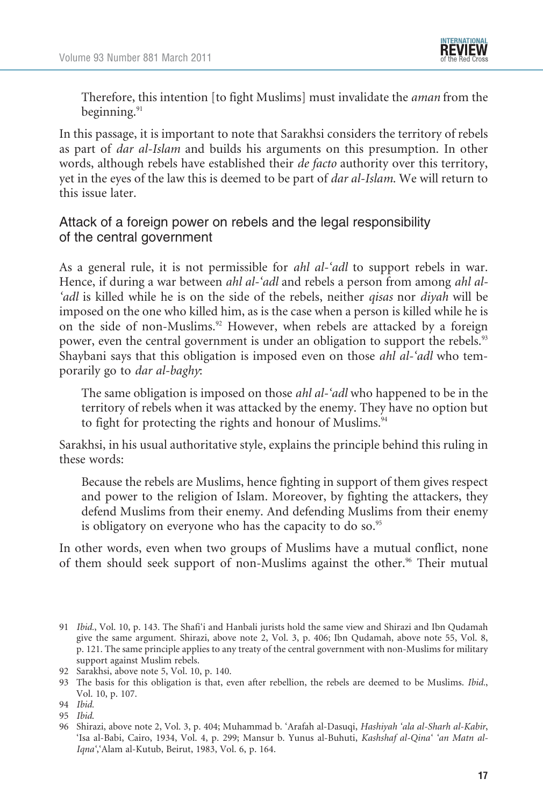Therefore, this intention [to fight Muslims] must invalidate the aman from the beginning.<sup>91</sup>

In this passage, it is important to note that Sarakhsi considers the territory of rebels as part of dar al-Islam and builds his arguments on this presumption. In other words, although rebels have established their de facto authority over this territory, yet in the eyes of the law this is deemed to be part of *dar al-Islam*. We will return to this issue later.

## Attack of a foreign power on rebels and the legal responsibility of the central government

As a general rule, it is not permissible for *ahl al-'adl* to support rebels in war. Hence, if during a war between *ahl al-'adl* and rebels a person from among *ahl al-*'adl is killed while he is on the side of the rebels, neither qisas nor diyah will be imposed on the one who killed him, as is the case when a person is killed while he is on the side of non-Muslims.<sup>92</sup> However, when rebels are attacked by a foreign power, even the central government is under an obligation to support the rebels.<sup>93</sup> Shaybani says that this obligation is imposed even on those ahl al-'adl who temporarily go to dar al-baghy:

The same obligation is imposed on those *ahl al-'adl* who happened to be in the territory of rebels when it was attacked by the enemy. They have no option but to fight for protecting the rights and honour of Muslims.<sup>94</sup>

Sarakhsi, in his usual authoritative style, explains the principle behind this ruling in these words:

Because the rebels are Muslims, hence fighting in support of them gives respect and power to the religion of Islam. Moreover, by fighting the attackers, they defend Muslims from their enemy. And defending Muslims from their enemy is obligatory on everyone who has the capacity to do so.<sup>95</sup>

In other words, even when two groups of Muslims have a mutual conflict, none of them should seek support of non-Muslims against the other.<sup>96</sup> Their mutual

<sup>91</sup> Ibid., Vol. 10, p. 143. The Shafi'i and Hanbali jurists hold the same view and Shirazi and Ibn Qudamah give the same argument. Shirazi, above note 2, Vol. 3, p. 406; Ibn Qudamah, above note 55, Vol. 8, p. 121. The same principle applies to any treaty of the central government with non-Muslims for military support against Muslim rebels.

<sup>92</sup> Sarakhsi, above note 5, Vol. 10, p. 140.

<sup>93</sup> The basis for this obligation is that, even after rebellion, the rebels are deemed to be Muslims. Ibid., Vol. 10, p. 107.

<sup>94</sup> Ibid.

<sup>95</sup> Ibid.

<sup>96</sup> Shirazi, above note 2, Vol. 3, p. 404; Muhammad b. 'Arafah al-Dasuqi, Hashiyah 'ala al-Sharh al-Kabir, 'Isa al-Babi, Cairo, 1934, Vol. 4, p. 299; Mansur b. Yunus al-Buhuti, Kashshaf al-Qina' 'an Matn al-Iqna','Alam al-Kutub, Beirut, 1983, Vol. 6, p. 164.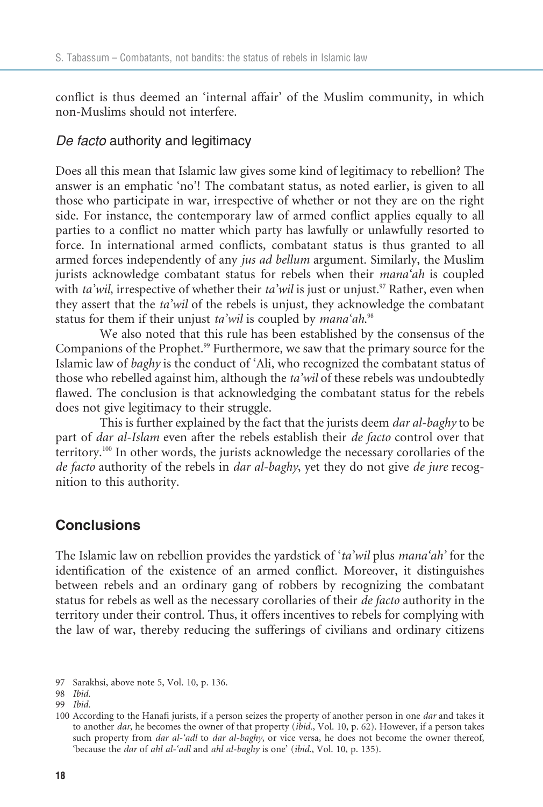conflict is thus deemed an 'internal affair' of the Muslim community, in which non-Muslims should not interfere.

#### De facto authority and legitimacy

Does all this mean that Islamic law gives some kind of legitimacy to rebellion? The answer is an emphatic 'no'! The combatant status, as noted earlier, is given to all those who participate in war, irrespective of whether or not they are on the right side. For instance, the contemporary law of armed conflict applies equally to all parties to a conflict no matter which party has lawfully or unlawfully resorted to force. In international armed conflicts, combatant status is thus granted to all armed forces independently of any jus ad bellum argument. Similarly, the Muslim jurists acknowledge combatant status for rebels when their *mana'ah* is coupled with ta'wil, irrespective of whether their ta'wil is just or unjust.<sup>97</sup> Rather, even when they assert that the ta'wil of the rebels is unjust, they acknowledge the combatant status for them if their unjust ta'wil is coupled by mana'ah.<sup>98</sup>

We also noted that this rule has been established by the consensus of the Companions of the Prophet.<sup>99</sup> Furthermore, we saw that the primary source for the Islamic law of baghy is the conduct of 'Ali, who recognized the combatant status of those who rebelled against him, although the ta'wil of these rebels was undoubtedly flawed. The conclusion is that acknowledging the combatant status for the rebels does not give legitimacy to their struggle.

This is further explained by the fact that the jurists deem dar al-baghy to be part of dar al-Islam even after the rebels establish their de facto control over that territory.100 In other words, the jurists acknowledge the necessary corollaries of the de facto authority of the rebels in *dar al-baghy*, yet they do not give *de jure* recognition to this authority.

## **Conclusions**

The Islamic law on rebellion provides the yardstick of 'ta'wil plus mana'ah' for the identification of the existence of an armed conflict. Moreover, it distinguishes between rebels and an ordinary gang of robbers by recognizing the combatant status for rebels as well as the necessary corollaries of their de facto authority in the territory under their control. Thus, it offers incentives to rebels for complying with the law of war, thereby reducing the sufferings of civilians and ordinary citizens

<sup>97</sup> Sarakhsi, above note 5, Vol. 10, p. 136.

<sup>98</sup> Ibid.

<sup>99</sup> Ibid.

<sup>100</sup> According to the Hanafi jurists, if a person seizes the property of another person in one dar and takes it to another dar, he becomes the owner of that property (ibid., Vol. 10, p. 62). However, if a person takes such property from *dar al-'adl* to *dar al-baghy*, or vice versa, he does not become the owner thereof, 'because the dar of ahl al-'adl and ahl al-baghy is one' (ibid., Vol. 10, p. 135).